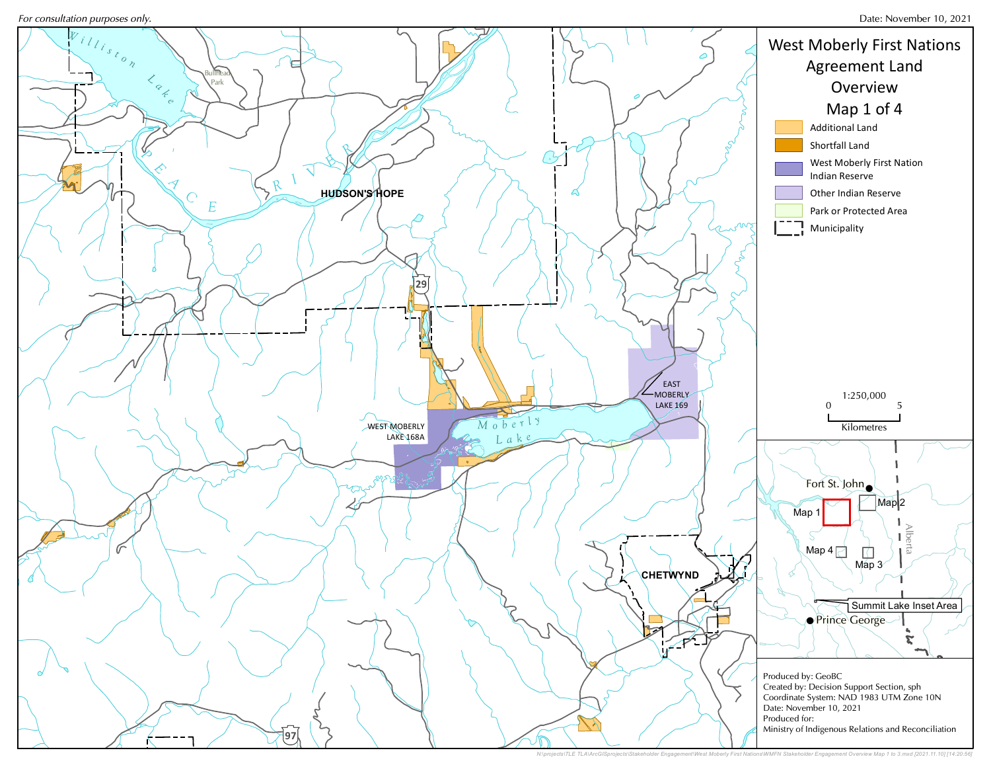For consultation purposes only.



N:\projects\TLE TLA\ArcGISprojects\Stakeholder Engagement\West Moberly First Nations\WMFN Stakeholder Engagement Overview Map 1 to 3.mxd [2021.11.10] [14:20:56]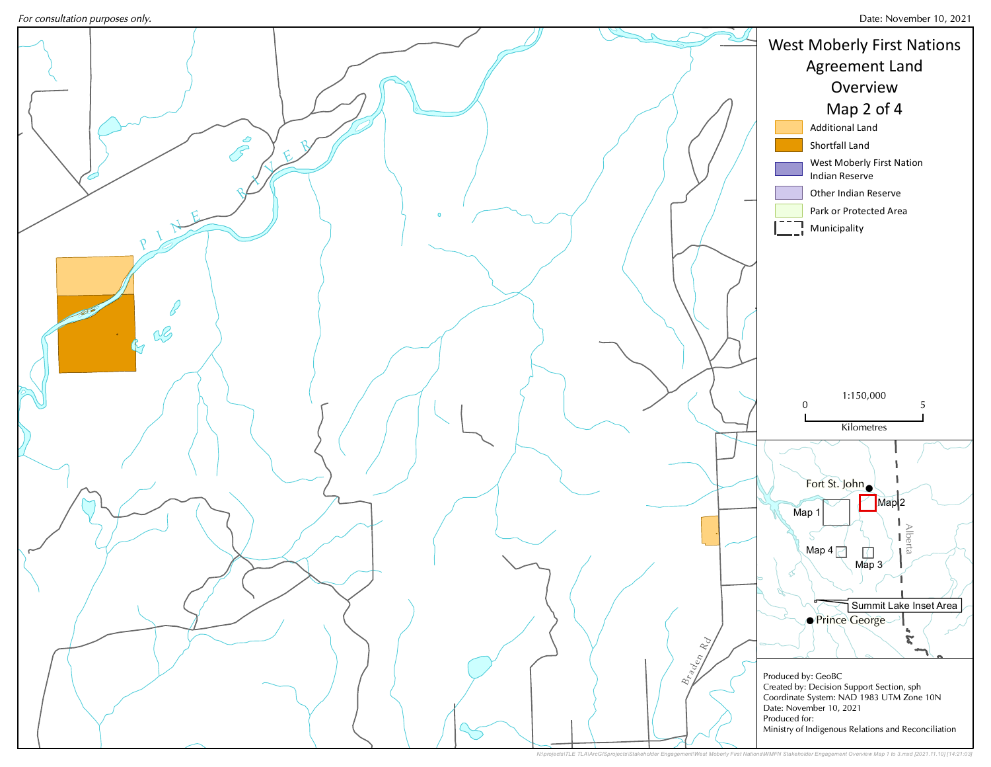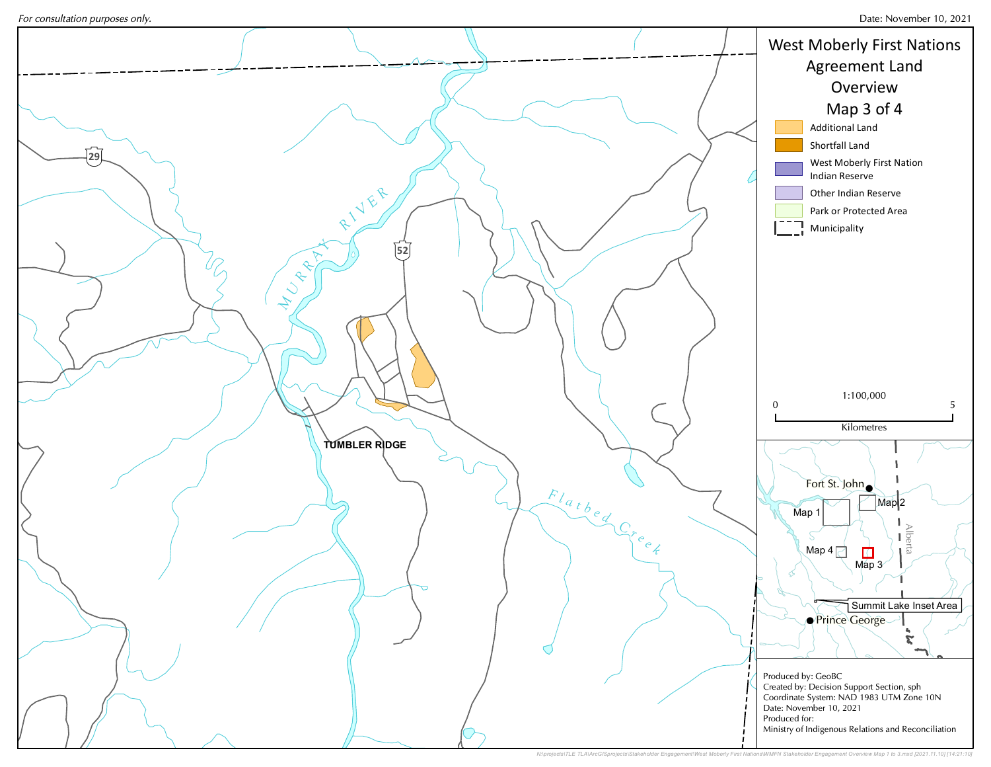